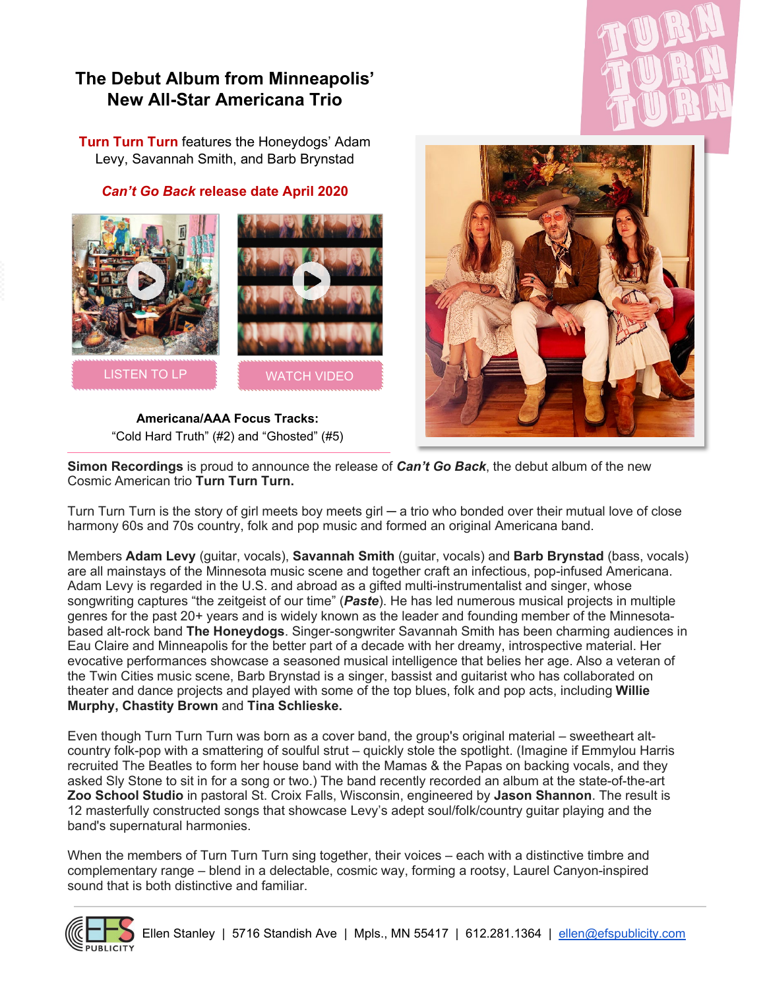## **The Debut Album from Minneapolis' New All-Star Americana Trio**

**Turn Turn Turn** features the Honeydogs' Adam Levy, Savannah Smith, and Barb Brynstad

## *Can't Go Back* **release date April 2020**





**Americana/AAA Focus Tracks:** "Cold Hard Truth" (#2) and "Ghosted" (#5)



**Simon Recordings** is proud to announce the release of *Can't Go Back*, the debut album of the new Cosmic American trio **Turn Turn Turn.**

Turn Turn Turn is the story of girl meets boy meets girl — a trio who bonded over their mutual love of close harmony 60s and 70s country, folk and pop music and formed an original Americana band.

Members **Adam Levy** (guitar, vocals), **Savannah Smith** (guitar, vocals) and **Barb Brynstad** (bass, vocals) are all mainstays of the Minnesota music scene and together craft an infectious, pop-infused Americana. Adam Levy is regarded in the U.S. and abroad as a gifted multi-instrumentalist and singer, whose songwriting captures "the zeitgeist of our time" (*Paste*). He has led numerous musical projects in multiple genres for the past 20+ years and is widely known as the leader and founding member of the Minnesotabased alt-rock band **The Honeydogs**. Singer-songwriter Savannah Smith has been charming audiences in Eau Claire and Minneapolis for the better part of a decade with her dreamy, introspective material. Her evocative performances showcase a seasoned musical intelligence that belies her age. Also a veteran of the Twin Cities music scene, Barb Brynstad is a singer, bassist and guitarist who has collaborated on theater and dance projects and played with some of the top blues, folk and pop acts, including **Willie Murphy, Chastity Brown** and **Tina Schlieske.**

Even though Turn Turn Turn was born as a cover band, the group's original material – sweetheart altcountry folk-pop with a smattering of soulful strut – quickly stole the spotlight. (Imagine if Emmylou Harris recruited The Beatles to form her house band with the Mamas & the Papas on backing vocals, and they asked Sly Stone to sit in for a song or two.) The band recently recorded an album at the state-of-the-art **Zoo School Studio** in pastoral St. Croix Falls, Wisconsin, engineered by **Jason Shannon**. The result is 12 masterfully constructed songs that showcase Levy's adept soul/folk/country guitar playing and the band's supernatural harmonies.

When the members of Turn Turn Turn sing together, their voices – each with a distinctive timbre and complementary range – blend in a delectable, cosmic way, forming a rootsy, Laurel Canyon-inspired sound that is both distinctive and familiar.